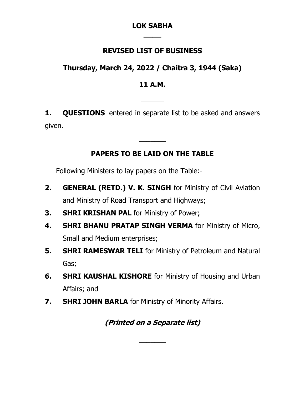#### **LOK SABHA \_\_\_\_**

## **REVISED LIST OF BUSINESS**

# **Thursday, March 24, 2022 / Chaitra 3, 1944 (Saka)**

## **11 A.M.**

 $\overline{\phantom{a}}$ 

**1. QUESTIONS** entered in separate list to be asked and answers given.

# **PAPERS TO BE LAID ON THE TABLE**

 $\overline{\phantom{a}}$ 

Following Ministers to lay papers on the Table:-

- **2. GENERAL (RETD.) V. K. SINGH** for Ministry of Civil Aviation and Ministry of Road Transport and Highways;
- **3. SHRI KRISHAN PAL** for Ministry of Power;
- **4. SHRI BHANU PRATAP SINGH VERMA** for Ministry of Micro, Small and Medium enterprises;
- **5. SHRI RAMESWAR TELI** for Ministry of Petroleum and Natural Gas;
- **6. SHRI KAUSHAL KISHORE** for Ministry of Housing and Urban Affairs; and
- **7. SHRI JOHN BARLA** for Ministry of Minority Affairs.

# **(Printed on a Separate list)**

 $\overline{\phantom{a}}$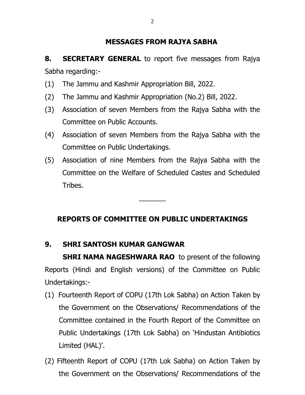### **MESSAGES FROM RAJYA SABHA**

**8. SECRETARY GENERAL** to report five messages from Rajya Sabha regarding:-

- (1) The Jammu and Kashmir Appropriation Bill, 2022.
- (2) The Jammu and Kashmir Appropriation (No.2) Bill, 2022.
- (3) Association of seven Members from the Rajya Sabha with the Committee on Public Accounts.
- (4) Association of seven Members from the Rajya Sabha with the Committee on Public Undertakings.
- (5) Association of nine Members from the Rajya Sabha with the Committee on the Welfare of Scheduled Castes and Scheduled Tribes.

# **REPORTS OF COMMITTEE ON PUBLIC UNDERTAKINGS**

 $\overline{\phantom{a}}$ 

### **9. SHRI SANTOSH KUMAR GANGWAR**

**SHRI NAMA NAGESHWARA RAO** to present of the following Reports (Hindi and English versions) of the Committee on Public Undertakings:-

- (1) Fourteenth Report of COPU (17th Lok Sabha) on Action Taken by the Government on the Observations/ Recommendations of the Committee contained in the Fourth Report of the Committee on Public Undertakings (17th Lok Sabha) on 'Hindustan Antibiotics Limited (HAL)'.
- (2) Fifteenth Report of COPU (17th Lok Sabha) on Action Taken by the Government on the Observations/ Recommendations of the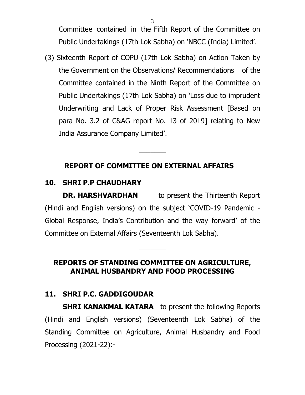Committee contained in the Fifth Report of the Committee on Public Undertakings (17th Lok Sabha) on 'NBCC (India) Limited'.

(3) Sixteenth Report of COPU (17th Lok Sabha) on Action Taken by the Government on the Observations/ Recommendations of the Committee contained in the Ninth Report of the Committee on Public Undertakings (17th Lok Sabha) on 'Loss due to imprudent Underwriting and Lack of Proper Risk Assessment [Based on para No. 3.2 of C&AG report No. 13 of 2019] relating to New India Assurance Company Limited'.

### **REPORT OF COMMITTEE ON EXTERNAL AFFAIRS**

 $\overline{\phantom{a}}$ 

# **10. SHRI P.P CHAUDHARY**

**DR. HARSHVARDHAN** to present the Thirteenth Report (Hindi and English versions) on the subject 'COVID-19 Pandemic - Global Response, India's Contribution and the way forward' of the Committee on External Affairs (Seventeenth Lok Sabha).

# **REPORTS OF STANDING COMMITTEE ON AGRICULTURE, ANIMAL HUSBANDRY AND FOOD PROCESSING**

 $\overline{\phantom{a}}$ 

# **11. SHRI P.C. GADDIGOUDAR**

**SHRI KANAKMAL KATARA** to present the following Reports (Hindi and English versions) (Seventeenth Lok Sabha) of the Standing Committee on Agriculture, Animal Husbandry and Food Processing (2021-22):-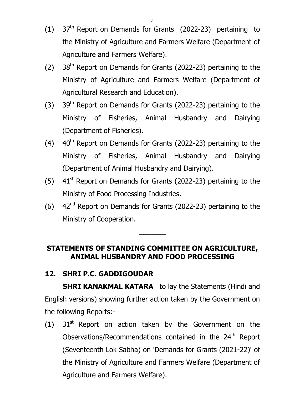- (1)  $37<sup>th</sup>$  Report on Demands for Grants (2022-23) pertaining to the Ministry of Agriculture and Farmers Welfare (Department of Agriculture and Farmers Welfare).
- (2)  $38<sup>th</sup>$  Report on Demands for Grants (2022-23) pertaining to the Ministry of Agriculture and Farmers Welfare (Department of Agricultural Research and Education).
- $(3)$  39<sup>th</sup> Report on Demands for Grants (2022-23) pertaining to the Ministry of Fisheries, Animal Husbandry and Dairying (Department of Fisheries).
- $(4)$  40<sup>th</sup> Report on Demands for Grants (2022-23) pertaining to the Ministry of Fisheries, Animal Husbandry and Dairying (Department of Animal Husbandry and Dairying).
- (5)  $41<sup>st</sup>$  Report on Demands for Grants (2022-23) pertaining to the Ministry of Food Processing Industries.
- $(6)$  42<sup>nd</sup> Report on Demands for Grants (2022-23) pertaining to the Ministry of Cooperation.

## **STATEMENTS OF STANDING COMMITTEE ON AGRICULTURE, ANIMAL HUSBANDRY AND FOOD PROCESSING**

 $\overline{\phantom{a}}$ 

# **12. SHRI P.C. GADDIGOUDAR**

**SHRI KANAKMAL KATARA** to lay the Statements (Hindi and English versions) showing further action taken by the Government on the following Reports:-

(1)  $31<sup>st</sup>$  Report on action taken by the Government on the Observations/Recommendations contained in the 24<sup>th</sup> Report (Seventeenth Lok Sabha) on 'Demands for Grants (2021-22)' [of](http://164.100.47.193/lsscommittee/Agriculture/16_Agriculture_55.pdf)  [the Ministry of Agriculture and Farmers Welfare \(Department of](http://164.100.47.193/lsscommittee/Agriculture/16_Agriculture_55.pdf)  [Agriculture and Farmers Welfare\).](http://164.100.47.193/lsscommittee/Agriculture/16_Agriculture_55.pdf)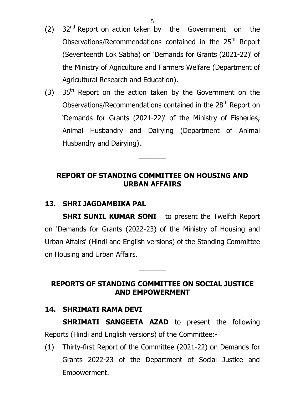- (2)  $32<sup>nd</sup>$  Report on action taken by the Government on the Observations/Recommendations contained in the 25<sup>th</sup> Report (Seventeenth Lok Sabha) on 'Demands for Grants (2021-22)' [of](http://164.100.47.193/lsscommittee/Agriculture/16_Agriculture_55.pdf)  [the Ministry of Agriculture and Farmers Welfare](http://164.100.47.193/lsscommittee/Agriculture/16_Agriculture_55.pdf) (Department of [Agricultural Research and Education\).](http://164.100.47.193/lsscommittee/Agriculture/16_Agriculture_55.pdf)
- $(3)$  35<sup>th</sup> Report on the action taken by the Government on the Observations/Recommendations contained in the 28<sup>th</sup> Report on 'Demands for Grants (2021-22)' of the Ministry of Fisheries, Animal Husbandry and Dairying (Department of Animal Husbandry and Dairying).

## **REPORT OF STANDING COMMITTEE ON HOUSING AND URBAN AFFAIRS**

 $\overline{\phantom{a}}$ 

### **13. SHRI JAGDAMBIKA PAL**

**SHRI SUNIL KUMAR SONI** to present the Twelfth Report on 'Demands for Grants (2022-23) of the Ministry of Housing and Urban Affairs' (Hindi and English versions) of the Standing Committee on Housing and Urban Affairs.

### **REPORTS OF STANDING COMMITTEE ON SOCIAL JUSTICE AND EMPOWERMENT**

 $\overline{\phantom{a}}$ 

#### **14. SHRIMATI RAMA DEVI**

**SHRIMATI SANGEETA AZAD** to present the following Reports (Hindi and English versions) of the Committee:-

(1) Thirty-first Report of the Committee (2021-22) on Demands for Grants 2022-23 of the Department of Social Justice and Empowerment.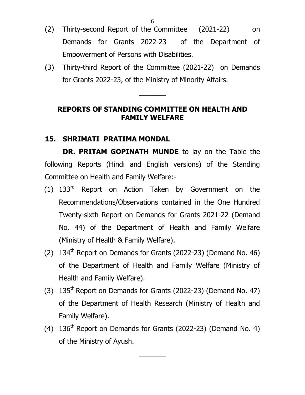- (2) Thirty-second Report of the Committee (2021-22) on Demands for Grants 2022-23 of the Department of Empowerment of Persons with Disabilities.
- (3) Thirty-third Report of the Committee (2021-22) on Demands for Grants 2022-23, of the Ministry of Minority Affairs.

 $\overline{\phantom{a}}$ 

### **REPORTS OF STANDING COMMITTEE ON HEALTH AND FAMILY WELFARE**

#### **15. SHRIMATI PRATIMA MONDAL**

**DR. PRITAM GOPINATH MUNDE** to lay on the Table the following Reports (Hindi and English versions) of the Standing Committee on Health and Family Welfare:-

- (1) 133rd Report on Action Taken by Government on the Recommendations/Observations contained in the One Hundred Twenty-sixth Report on Demands for Grants 2021-22 (Demand No. 44) of the Department of Health and Family Welfare (Ministry of Health & Family Welfare).
- (2)  $134^{\text{th}}$  Report on Demands for Grants (2022-23) (Demand No. 46) of the Department of Health and Family Welfare (Ministry of Health and Family Welfare).
- (3)  $135<sup>th</sup>$  Report on Demands for Grants (2022-23) (Demand No. 47) of the Department of Health Research (Ministry of Health and Family Welfare).
- (4)  $136<sup>th</sup>$  Report on Demands for Grants (2022-23) (Demand No. 4) of the Ministry of Ayush.

 $\overline{\phantom{a}}$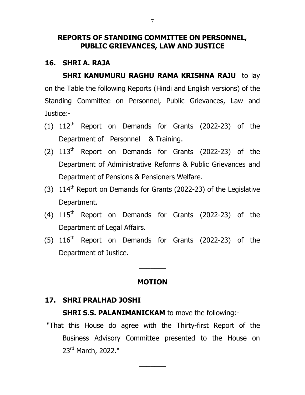#### **REPORTS OF STANDING COMMITTEE ON PERSONNEL, PUBLIC GRIEVANCES, LAW AND JUSTICE**

#### **16. SHRI A. RAJA**

**SHRI KANUMURU RAGHU RAMA KRISHNA RAJU** to lay on the Table the following Reports (Hindi and English versions) of the Standing Committee on Personnel, Public Grievances, Law and Justice:-

- (1)  $112^{th}$  Report on Demands for Grants (2022-23) of the Department of Personnel & Training.
- (2)  $113<sup>th</sup>$  Report on Demands for Grants (2022-23) of the Department of Administrative Reforms & Public Grievances and Department of Pensions & Pensioners Welfare.
- (3)  $114^{\text{th}}$  Report on Demands for Grants (2022-23) of the Legislative Department.
- (4)  $115<sup>th</sup>$  Report on Demands for Grants (2022-23) of the Department of Legal Affairs.
- (5)  $116<sup>th</sup>$  Report on Demands for Grants (2022-23) of the Department of Justice.

#### **MOTION**

 $\overline{\phantom{a}}$ 

#### **17. SHRI PRALHAD JOSHI**

**SHRI S.S. PALANIMANICKAM** to move the following:-

"That this House do agree with the Thirty-first Report of the Business Advisory Committee presented to the House on 23rd March, 2022."

 $\overline{\phantom{a}}$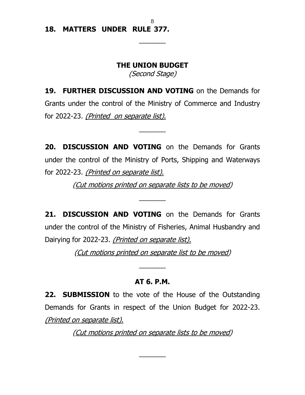#### **18. MATTERS UNDER RULE 377.**

#### **THE UNION BUDGET**

 $\overline{\phantom{a}}$ 

(Second Stage)

**19. FURTHER DISCUSSION AND VOTING** on the Demands for Grants under the control of the Ministry of Commerce and Industry for 2022-23. (Printed on separate list).

 $\overline{\phantom{a}}$ 

**20. DISCUSSION AND VOTING** on the Demands for Grants under the control of the Ministry of Ports, Shipping and Waterways for 2022-23. (Printed on separate list).

(Cut motions printed on separate lists to be moved)

 $\overline{\phantom{a}}$ 

**21. DISCUSSION AND VOTING** on the Demands for Grants under the control of the Ministry of Fisheries, Animal Husbandry and Dairying for 2022-23. (Printed on separate list).

(Cut motions printed on separate list to be moved)

 $\overline{\phantom{a}}$ 

#### **AT 6. P.M.**

**22. SUBMISSION** to the vote of the House of the Outstanding Demands for Grants in respect of the Union Budget for 2022-23. (Printed on separate list).

(Cut motions printed on separate lists to be moved)

 $\overline{\phantom{a}}$ 

8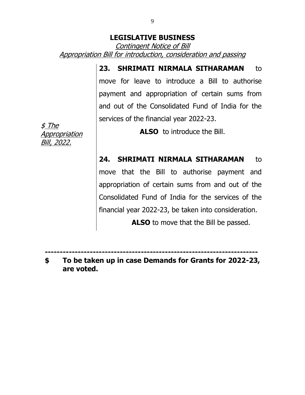### **LEGISLATIVE BUSINESS**

Contingent Notice of Bill Appropriation Bill for introduction, consideration and passing

> 23. **SHRIMATI NIRMALA SITHARAMAN** to move for leave to introduce a Bill to authorise payment and appropriation of certain sums from and out of the Consolidated Fund of India for the services of the financial year 2022-23.

> > **ALSO** to introduce the Bill.

**24. SHRIMATI NIRMALA SITHARAMAN** to

move that the Bill to authorise payment and appropriation of certain sums from and out of the Consolidated Fund of India for the services of the financial year 2022-23, be taken into consideration.

 **ALSO** to move that the Bill be passed.

**-----------------------------------------------------------------------**

**\$ To be taken up in case Demands for Grants for 2022-23, are voted.**

\$ The Appropriation Bill, 2022.